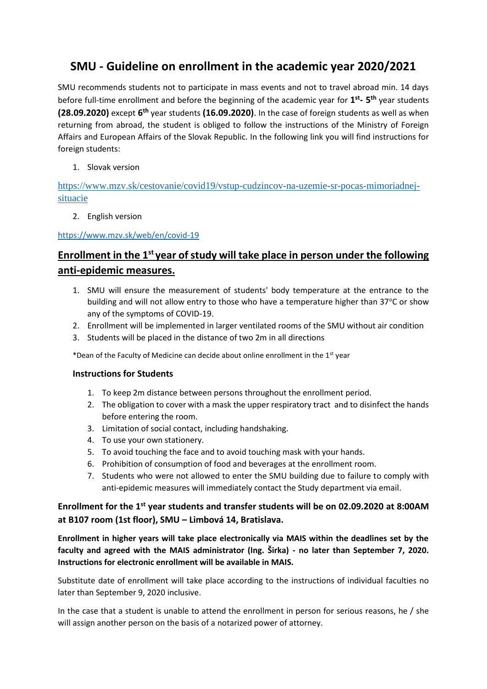# **SMU - Guideline on enrollment in the academic year 2020/2021**

SMU recommends students not to participate in mass events and not to travel abroad min. 14 days before full-time enrollment and before the beginning of the academic year for  $1^{st}$ -  $5^{th}$  year students **(28.09.2020)** except **6 th** year students **(16.09.2020)**. In the case of foreign students as well as when returning from abroad, the student is obliged to follow the instructions of the Ministry of Foreign Affairs and European Affairs of the Slovak Republic. In the following link you will find instructions for foreign students:

1. Slovak version

[https://www.mzv.sk/cestovanie/covid19/vstup-cudzincov-na-uzemie-sr-pocas-mimoriadnej](https://www.mzv.sk/cestovanie/covid19/vstup-cudzincov-na-uzemie-sr-pocas-mimoriadnej-situacie)[situacie](https://www.mzv.sk/cestovanie/covid19/vstup-cudzincov-na-uzemie-sr-pocas-mimoriadnej-situacie) 

2. English version

## <https://www.mzv.sk/web/en/covid-19>

## **Enrollment in the 1st year of study will take place in person under the following anti-epidemic measures.**

- 1. SMU will ensure the measurement of students' body temperature at the entrance to the building and will not allow entry to those who have a temperature higher than 37°C or show any of the symptoms of COVID-19.
- 2. Enrollment will be implemented in larger ventilated rooms of the SMU without air condition
- 3. Students will be placed in the distance of two 2m in all directions

\*Dean of the Faculty of Medicine can decide about online enrollment in the 1<sup>st</sup> year

## **Instructions for Students**

- 1. To keep 2m distance between persons throughout the enrollment period.
- 2. The obligation to cover with a mask the upper respiratory tract and to disinfect the hands before entering the room.
- 3. Limitation of social contact, including handshaking.
- 4. To use your own stationery.
- 5. To avoid touching the face and to avoid touching mask with your hands.
- 6. Prohibition of consumption of food and beverages at the enrollment room.
- 7. Students who were not allowed to enter the SMU building due to failure to comply with anti-epidemic measures will immediately contact the Study department via email.

## **Enrollment for the 1st year students and transfer students will be on 02.09.2020 at 8:00AM at B107 room (1st floor), SMU – Limbová 14, Bratislava.**

**Enrollment in higher years will take place electronically via MAIS within the deadlines set by the faculty and agreed with the MAIS administrator (Ing. Širka) - no later than September 7, 2020. Instructions for electronic enrollment will be available in MAIS.**

Substitute date of enrollment will take place according to the instructions of individual faculties no later than September 9, 2020 inclusive.

In the case that a student is unable to attend the enrollment in person for serious reasons, he / she will assign another person on the basis of a notarized power of attorney.